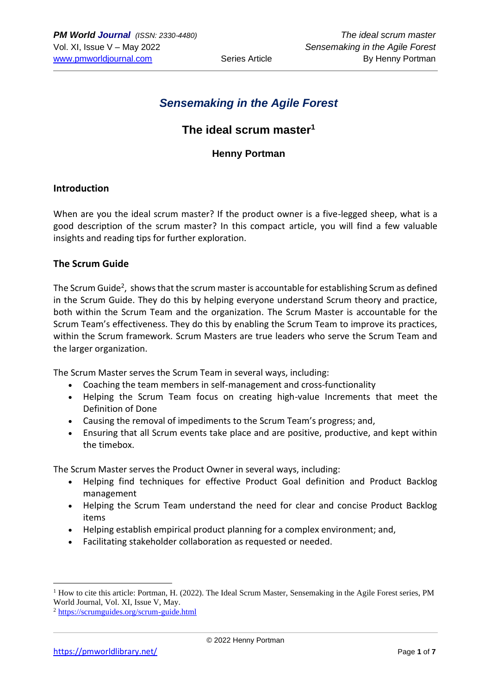# *Sensemaking in the Agile Forest*

# **The ideal scrum master<sup>1</sup>**

## **Henny Portman**

### **Introduction**

When are you the ideal scrum master? If the product owner is a five-legged sheep, what is a good description of the scrum master? In this compact article, you will find a few valuable insights and reading tips for further exploration.

#### **The Scrum Guide**

The Scrum Guide<sup>2</sup>, shows that the scrum master is accountable for establishing Scrum as defined in the Scrum Guide. They do this by helping everyone understand Scrum theory and practice, both within the Scrum Team and the organization. The Scrum Master is accountable for the Scrum Team's effectiveness. They do this by enabling the Scrum Team to improve its practices, within the Scrum framework. Scrum Masters are true leaders who serve the Scrum Team and the larger organization.

The Scrum Master serves the Scrum Team in several ways, including:

- Coaching the team members in self-management and cross-functionality
- Helping the Scrum Team focus on creating high-value Increments that meet the Definition of Done
- Causing the removal of impediments to the Scrum Team's progress; and,
- Ensuring that all Scrum events take place and are positive, productive, and kept within the timebox.

The Scrum Master serves the Product Owner in several ways, including:

- Helping find techniques for effective Product Goal definition and Product Backlog management
- Helping the Scrum Team understand the need for clear and concise Product Backlog items
- Helping establish empirical product planning for a complex environment; and,
- Facilitating stakeholder collaboration as requested or needed.

<sup>&</sup>lt;sup>1</sup> How to cite this article: Portman, H. (2022). The Ideal Scrum Master, Sensemaking in the Agile Forest series, PM World Journal, Vol. XI, Issue V, May.

<sup>2</sup> <https://scrumguides.org/scrum-guide.html>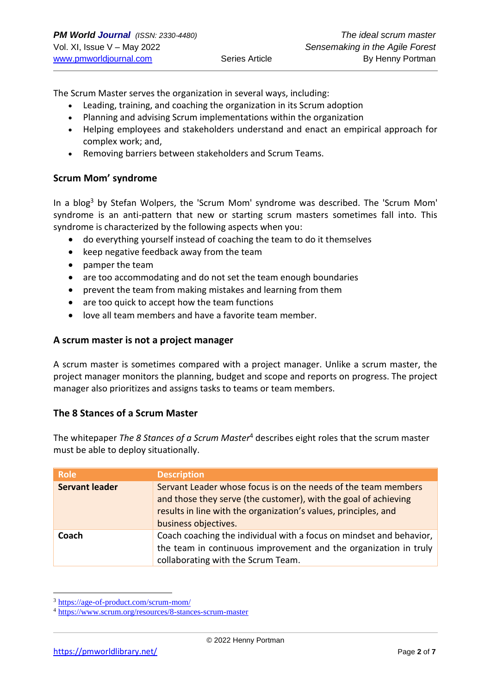The Scrum Master serves the organization in several ways, including:

- Leading, training, and coaching the organization in its Scrum adoption
- Planning and advising Scrum implementations within the organization
- Helping employees and stakeholders understand and enact an empirical approach for complex work; and,
- Removing barriers between stakeholders and Scrum Teams.

#### **Scrum Mom' syndrome**

In a blog<sup>3</sup> by Stefan Wolpers, the 'Scrum Mom' syndrome was described. The 'Scrum Mom' syndrome is an anti-pattern that new or starting scrum masters sometimes fall into. This syndrome is characterized by the following aspects when you:

- do everything yourself instead of coaching the team to do it themselves
- keep negative feedback away from the team
- pamper the team
- are too accommodating and do not set the team enough boundaries
- prevent the team from making mistakes and learning from them
- are too quick to accept how the team functions
- love all team members and have a favorite team member.

#### **A scrum master is not a project manager**

A scrum master is sometimes compared with a project manager. Unlike a scrum master, the project manager monitors the planning, budget and scope and reports on progress. The project manager also prioritizes and assigns tasks to teams or team members.

### **The 8 Stances of a Scrum Master**

The whitepaper *The 8 Stances of a Scrum Master*<sup>4</sup> describes eight roles that the scrum master must be able to deploy situationally.

| <b>Role</b>           | <b>Description</b>                                                                                                                                                                                                           |
|-----------------------|------------------------------------------------------------------------------------------------------------------------------------------------------------------------------------------------------------------------------|
| <b>Servant leader</b> | Servant Leader whose focus is on the needs of the team members<br>and those they serve (the customer), with the goal of achieving<br>results in line with the organization's values, principles, and<br>business objectives. |
| Coach                 | Coach coaching the individual with a focus on mindset and behavior,<br>the team in continuous improvement and the organization in truly<br>collaborating with the Scrum Team.                                                |

<sup>3</sup> <https://age-of-product.com/scrum-mom/>

<sup>4</sup> <https://www.scrum.org/resources/8-stances-scrum-master>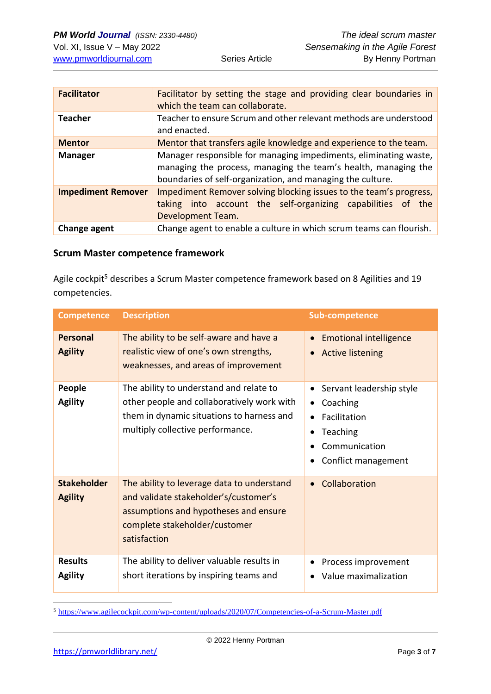| <b>Facilitator</b>        | Facilitator by setting the stage and providing clear boundaries in<br>which the team can collaborate.                                                                                            |  |
|---------------------------|--------------------------------------------------------------------------------------------------------------------------------------------------------------------------------------------------|--|
| <b>Teacher</b>            | Teacher to ensure Scrum and other relevant methods are understood<br>and enacted.                                                                                                                |  |
| <b>Mentor</b>             | Mentor that transfers agile knowledge and experience to the team.                                                                                                                                |  |
| <b>Manager</b>            | Manager responsible for managing impediments, eliminating waste,<br>managing the process, managing the team's health, managing the<br>boundaries of self-organization, and managing the culture. |  |
| <b>Impediment Remover</b> | Impediment Remover solving blocking issues to the team's progress,<br>taking into account the self-organizing capabilities of the<br>Development Team.                                           |  |
| Change agent              | Change agent to enable a culture in which scrum teams can flourish.                                                                                                                              |  |

#### **Scrum Master competence framework**

Agile cockpit<sup>5</sup> describes a Scrum Master competence framework based on 8 Agilities and 19 competencies.

| <b>Competence</b>                    | <b>Description</b>                                                                                                                                                            | <b>Sub-competence</b>                                                                                                                           |
|--------------------------------------|-------------------------------------------------------------------------------------------------------------------------------------------------------------------------------|-------------------------------------------------------------------------------------------------------------------------------------------------|
| <b>Personal</b><br><b>Agility</b>    | The ability to be self-aware and have a<br>realistic view of one's own strengths,<br>weaknesses, and areas of improvement                                                     | <b>Emotional intelligence</b><br>$\bullet$<br><b>Active listening</b><br>$\bullet$                                                              |
| People<br><b>Agility</b>             | The ability to understand and relate to<br>other people and collaboratively work with<br>them in dynamic situations to harness and<br>multiply collective performance.        | Servant leadership style<br>$\bullet$<br>Coaching<br>Facilitation<br>$\bullet$<br>Teaching<br>$\bullet$<br>Communication<br>Conflict management |
| <b>Stakeholder</b><br><b>Agility</b> | The ability to leverage data to understand<br>and validate stakeholder's/customer's<br>assumptions and hypotheses and ensure<br>complete stakeholder/customer<br>satisfaction | Collaboration<br>$\bullet$                                                                                                                      |
| <b>Results</b><br><b>Agility</b>     | The ability to deliver valuable results in<br>short iterations by inspiring teams and                                                                                         | Process improvement<br>$\bullet$<br>Value maximalization                                                                                        |

<sup>5</sup> <https://www.agilecockpit.com/wp-content/uploads/2020/07/Competencies-of-a-Scrum-Master.pdf>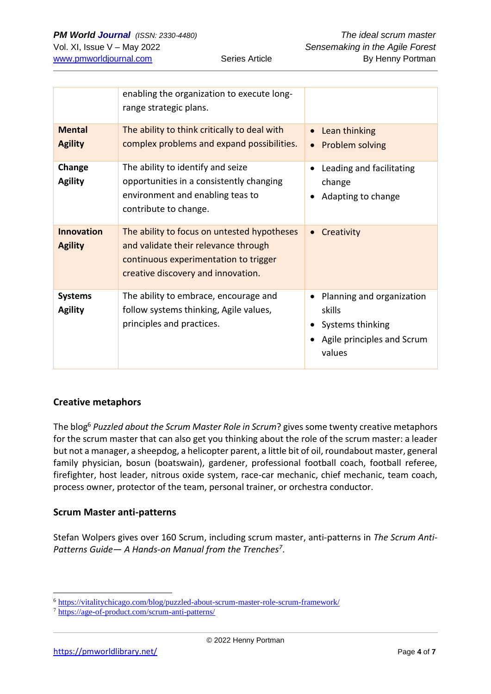|                                     | enabling the organization to execute long-<br>range strategic plans.                                                                                               |                                                                                                      |
|-------------------------------------|--------------------------------------------------------------------------------------------------------------------------------------------------------------------|------------------------------------------------------------------------------------------------------|
| <b>Mental</b><br><b>Agility</b>     | The ability to think critically to deal with<br>complex problems and expand possibilities.                                                                         | Lean thinking<br>$\bullet$<br>Problem solving<br>$\bullet$                                           |
| Change<br><b>Agility</b>            | The ability to identify and seize<br>opportunities in a consistently changing<br>environment and enabling teas to<br>contribute to change.                         | Leading and facilitating<br>change<br>Adapting to change                                             |
| <b>Innovation</b><br><b>Agility</b> | The ability to focus on untested hypotheses<br>and validate their relevance through<br>continuous experimentation to trigger<br>creative discovery and innovation. | Creativity<br>$\bullet$                                                                              |
| <b>Systems</b><br><b>Agility</b>    | The ability to embrace, encourage and<br>follow systems thinking, Agile values,<br>principles and practices.                                                       | Planning and organization<br>٠<br>skills<br>Systems thinking<br>Agile principles and Scrum<br>values |

## **Creative metaphors**

The blog<sup>6</sup> *Puzzled about the Scrum Master Role in Scrum*? gives some twenty creative metaphors for the scrum master that can also get you thinking about the role of the scrum master: a leader but not a manager, a sheepdog, a helicopter parent, a little bit of oil, roundabout master, general family physician, bosun (boatswain), gardener, professional football coach, football referee, firefighter, host leader, nitrous oxide system, race-car mechanic, chief mechanic, team coach, process owner, protector of the team, personal trainer, or orchestra conductor.

## **Scrum Master anti-patterns**

Stefan Wolpers gives over 160 Scrum, including scrum master, anti-patterns in *The Scrum Anti-Patterns Guide— A Hands-on Manual from the Trenches<sup>7</sup>* .

<sup>6</sup> <https://vitalitychicago.com/blog/puzzled-about-scrum-master-role-scrum-framework/>

<sup>7</sup> <https://age-of-product.com/scrum-anti-patterns/>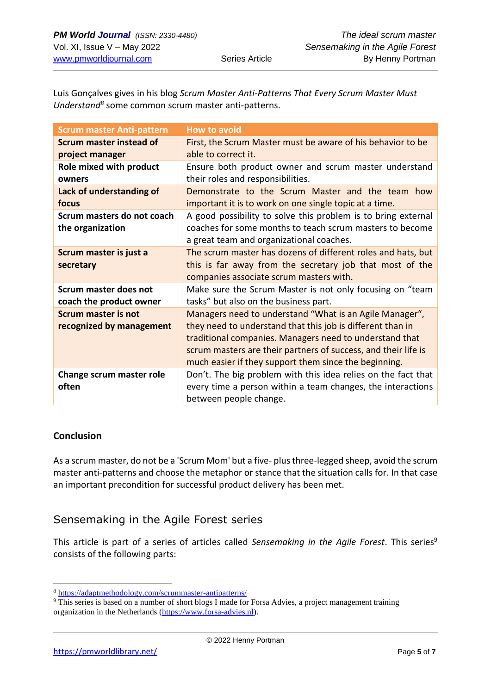Luis Gonçalves gives in his blog *Scrum Master Anti-Patterns That Every Scrum Master Must*  Understand<sup>8</sup> some common scrum master anti-patterns.

| <b>Scrum master Anti-pattern</b> | <b>How to avoid</b>                                            |
|----------------------------------|----------------------------------------------------------------|
| <b>Scrum master instead of</b>   | First, the Scrum Master must be aware of his behavior to be    |
| project manager                  | able to correct it.                                            |
| Role mixed with product          | Ensure both product owner and scrum master understand          |
| owners                           | their roles and responsibilities.                              |
| Lack of understanding of         | Demonstrate to the Scrum Master and the team how               |
| focus                            | important it is to work on one single topic at a time.         |
| Scrum masters do not coach       | A good possibility to solve this problem is to bring external  |
| the organization                 | coaches for some months to teach scrum masters to become       |
|                                  | a great team and organizational coaches.                       |
| Scrum master is just a           | The scrum master has dozens of different roles and hats, but   |
| secretary                        | this is far away from the secretary job that most of the       |
|                                  | companies associate scrum masters with.                        |
| <b>Scrum master does not</b>     | Make sure the Scrum Master is not only focusing on "team       |
| coach the product owner          | tasks" but also on the business part.                          |
| <b>Scrum master is not</b>       | Managers need to understand "What is an Agile Manager",        |
| recognized by management         | they need to understand that this job is different than in     |
|                                  | traditional companies. Managers need to understand that        |
|                                  | scrum masters are their partners of success, and their life is |
|                                  | much easier if they support them since the beginning.          |
| Change scrum master role         | Don't. The big problem with this idea relies on the fact that  |
| often                            | every time a person within a team changes, the interactions    |
|                                  | between people change.                                         |

#### **Conclusion**

As a scrum master, do not be a 'Scrum Mom' but a five- plusthree-legged sheep, avoid the scrum master anti-patterns and choose the metaphor or stance that the situation calls for. In that case an important precondition for successful product delivery has been met.

# Sensemaking in the Agile Forest series

This article is part of a series of articles called *Sensemaking in the Agile Forest*. This series<sup>9</sup> consists of the following parts:

<sup>8</sup> <https://adaptmethodology.com/scrummaster-antipatterns/>

<sup>&</sup>lt;sup>9</sup> This series is based on a number of short blogs I made for Forsa Advies, a project management training organization in the Netherlands [\(https://www.forsa-advies.nl\)](https://www.forsa-advies.nl/).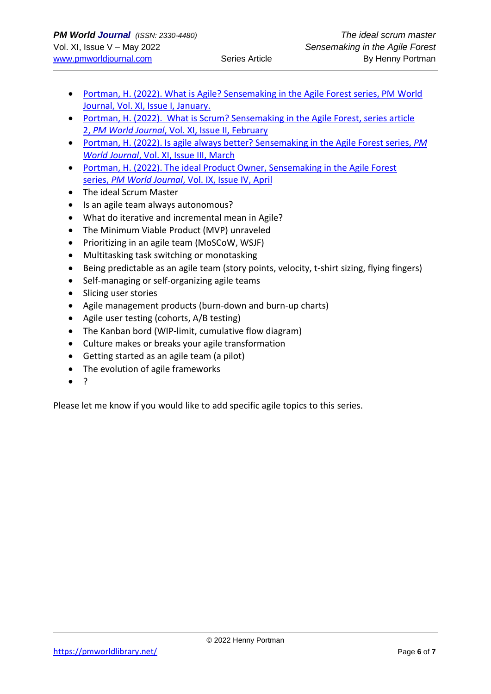- [Portman, H. \(2022\). What is Agile? Sensemaking in the Agile Forest series, PM World](https://pmworldlibrary.net/wp-content/uploads/2022/01/pmwj113-Jan2022-Portman-what-is-agile-sensemaking-in-the-agile-forest-series-article1.pdf)  [Journal, Vol. XI, Issue I, January.](https://pmworldlibrary.net/wp-content/uploads/2022/01/pmwj113-Jan2022-Portman-what-is-agile-sensemaking-in-the-agile-forest-series-article1.pdf)
- Portman, H. (2022). [What is Scrum? Sensemaking in the Agile Forest, series article](https://pmworldlibrary.net/wp-content/uploads/2022/02/pmwj114-Feb2022-Portman-What-is-Scrum-sensemaking-in-the-agile-forest-series-article2.pdf)  2, *PM World Journal*[, Vol. XI, Issue II, February](https://pmworldlibrary.net/wp-content/uploads/2022/02/pmwj114-Feb2022-Portman-What-is-Scrum-sensemaking-in-the-agile-forest-series-article2.pdf)
- [Portman, H. \(2022\). Is agile always better? Sensemaking in the Agile Forest series,](https://pmworldlibrary.net/wp-content/uploads/2022/03/pmwj115-Mar2022-Portman-Is-Agile-always-better-sensemaking-series-3.pdf) *PM World Journal*[, Vol. XI, Issue III, March](https://pmworldlibrary.net/wp-content/uploads/2022/03/pmwj115-Mar2022-Portman-Is-Agile-always-better-sensemaking-series-3.pdf)
- [Portman, H. \(2022\). The ideal Product Owner, Sensemaking in the Agile Forest](https://pmworldlibrary.net/wp-content/uploads/2022/04/pmwj116-Apr2022-Portman-4-the-ideal-product-owner.pdf)  series, *PM World Journal*[, Vol. IX, Issue IV, April](https://pmworldlibrary.net/wp-content/uploads/2022/04/pmwj116-Apr2022-Portman-4-the-ideal-product-owner.pdf)
- The ideal Scrum Master
- Is an agile team always autonomous?
- What do iterative and incremental mean in Agile?
- The Minimum Viable Product (MVP) unraveled
- Prioritizing in an agile team (MoSCoW, WSJF)
- Multitasking task switching or monotasking
- Being predictable as an agile team (story points, velocity, t-shirt sizing, flying fingers)
- Self-managing or self-organizing agile teams
- Slicing user stories
- Agile management products (burn-down and burn-up charts)
- Agile user testing (cohorts, A/B testing)
- The Kanban bord (WIP-limit, cumulative flow diagram)
- Culture makes or breaks your agile transformation
- Getting started as an agile team (a pilot)
- The evolution of agile frameworks
- ?

Please let me know if you would like to add specific agile topics to this series.